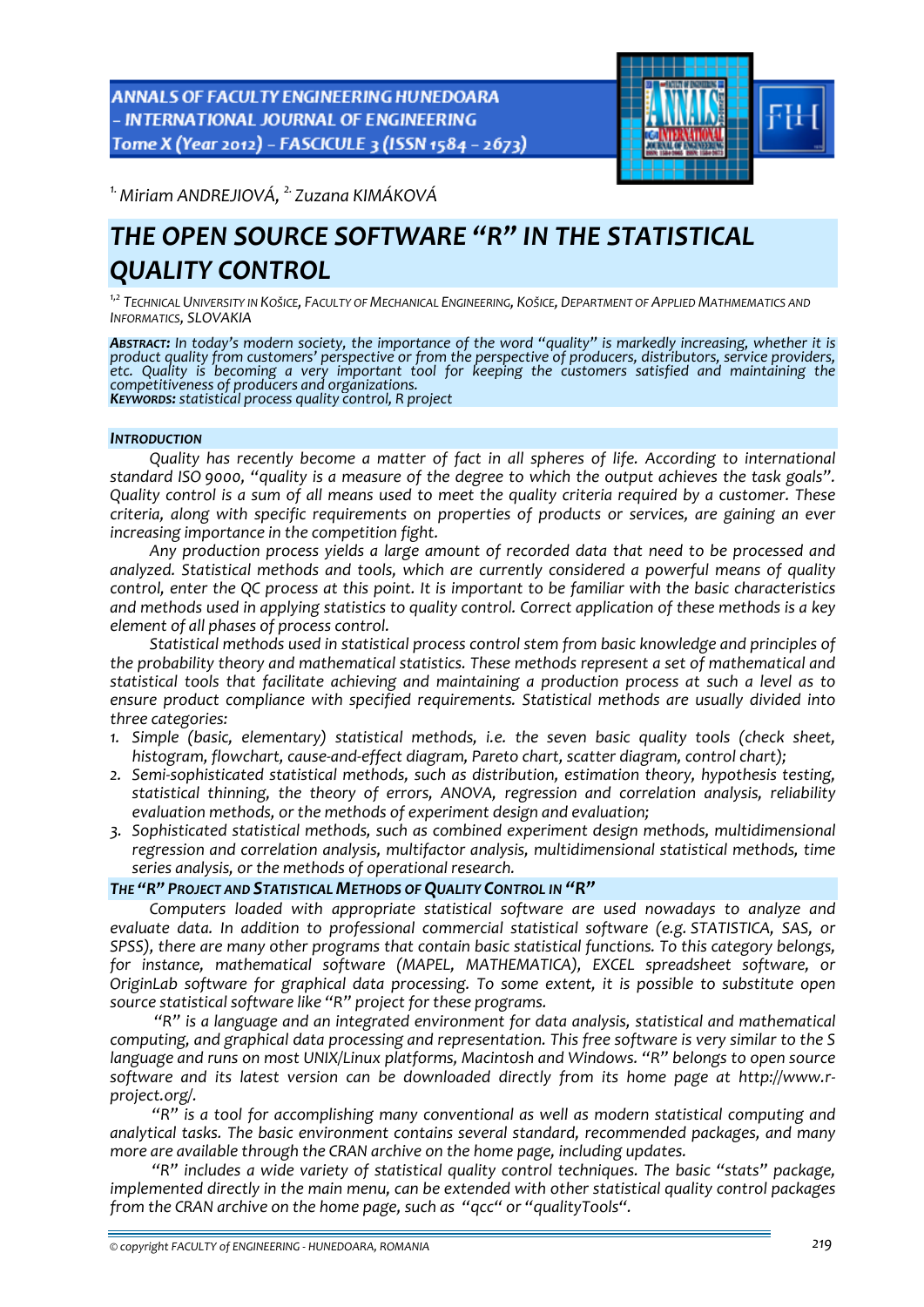ANNALS OF FACULTY ENGINEERING HUNEDOARA - INTERNATIONAL JOURNAL OF ENGINEERING Tome X (Year 2012) - FASCICULE 3 (ISSN 1584 - 2673)



*1.Miriam ANDREJIOVÁ, 2. Zuzana KIMÁKOVÁ* 

# *THE OPEN SOURCE SOFTWARE "R" IN THE STATISTICAL QUALITY CONTROL*

*1,2 TECHNICAL UNIVERSITY IN KOŠICE, FACULTY OF MECHANICAL ENGINEERING, KOŠICE, DEPARTMENT OF APPLIED MATHMEMATICS AND INFORMATICS, SLOVAKIA*

ABSTRACT: In today's modern society, the importance of the word "quality" is markedly increasing, whether it is *product quality from customers' perspective or from the perspective of producers, distributors, service providers, etc. Quality is becoming a very important tool for keeping the customers satisfied and maintaining the competitiveness of producers and organizations. KEYWORDS: statistical process quality control, <sup>R</sup> project*

*INTRODUCTION*

*Quality has recently become a matter of fact in all spheres of life. According to international* standard ISO 9000, "quality is a measure of the degree to which the output achieves the task goals". Quality control is a sum of all means used to meet the quality criteria required by a customer. These *criteria, along with specific requirements on properties of products or services, are gaining an ever increasing importance in the competition fight.* 

*Any production process yields a large amount of recorded data that need to be processed and analyzed. Statistical methods and tools, which are currently considered a powerful means of quality* control, enter the QC process at this point. It is important to be familiar with the basic characteristics *and methods used in applying statistics to quality control. Correct application of these methods is a key element of all phases of process control.* 

*Statistical methods used in statistical process control stem from basic knowledge and principles of the probability theory and mathematical statistics. These methods represent a set of mathematical and statistical tools that facilitate achieving and maintaining a production process at such a level as to ensure product compliance with specified requirements. Statistical methods are usually divided into three categories:* 

- *1. Simple (basic, elementary) statistical methods, i.e. the seven basic quality tools (check sheet, histogram, flowchart, cause‐and‐effect diagram, Pareto chart, scatter diagram, control chart);*
- *2. Semi‐sophisticated statistical methods, such as distribution, estimation theory, hypothesis testing, statistical thinning, the theory of errors, ANOVA, regression and correlation analysis, reliability evaluation methods, or the methods of experiment design and evaluation;*
- *3. Sophisticated statistical methods, such as combined experiment design methods, multidimensional regression and correlation analysis, multifactor analysis, multidimensional statistical methods, time series analysis, or the methods of operational research.*

# *THE "R" PROJECT AND STATISTICAL METHODS OF QUALITY CONTROL IN "R"*

*Computers loaded with appropriate statistical software are used nowadays to analyze and evaluate data. In addition to professional commercial statistical software (e.g. STATISTICA, SAS, or SPSS), there are many other programs that contain basic statistical functions. To this category belongs, for instance, mathematical software (MAPEL, MATHEMATICA), EXCEL spreadsheet software, or OriginLab software for graphical data processing. To some extent, it is possible to substitute open source statistical software like "R" project for these programs.* 

*"R" is a language and an integrated environment for data analysis, statistical and mathematical computing, and graphical data processing and representation. This free software is very similar to the S language and runs on most UNIX/Linux platforms, Macintosh and Windows. "R" belongs to open source software and its latest version can be downloaded directly from its home page at http://www.r‐ project.org/.*

*"R" is a tool for accomplishing many conventional as well as modern statistical computing and analytical tasks. The basic environment contains several standard, recommended packages, and many more are available through the CRAN archive on the home page, including updates.*

*"R" includes a wide variety of statistical quality control techniques. The basic "stats" package, implemented directly in the main menu, can be extended with other statistical quality control packages from the CRAN archive on the home page, such as "qcc" or "qualityTools".*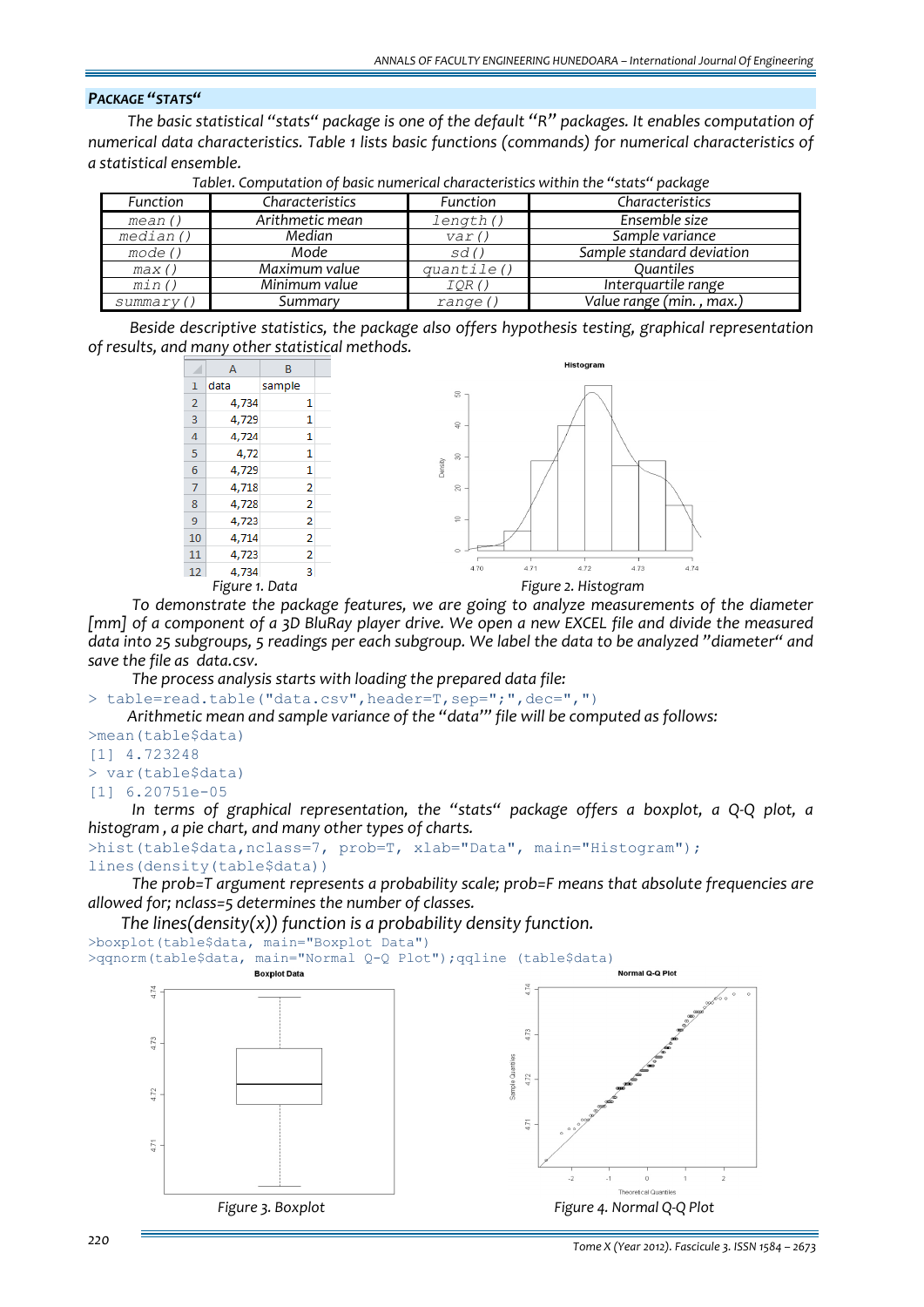# *PACKAGE "STATS"*

*The basic statistical "stats" package is one of the default "R" packages. It enables computation of numerical data characteristics. Table 1 lists basic functions (commands) for numerical characteristics of a statistical ensemble.*

| Function  | Characteristics | Function   | Characteristics           |  |
|-----------|-----------------|------------|---------------------------|--|
| mean()    | Arithmetic mean | length()   | Ensemble size             |  |
| median()  | Median          | var()      | Sample variance           |  |
| mode()    | Mode            | sd()       | Sample standard deviation |  |
| max()     | Maximum value   | quantile() | Ouantiles                 |  |
| min()     | Minimum value   | IOR()      | Interguartile range       |  |
| summary() | Summary         | range (    | Value range (min., max.)  |  |

*Table1. Computation of basic numerical characteristics within the "stats" package*

*Beside descriptive statistics, the package also offers hypothesis testing, graphical representation of results, and many other statistical methods.*



*To demonstrate the package features, we are going to analyze measurements of the diameter* [mm] of a component of a 3D BluRay player drive. We open a new EXCEL file and divide the measured data into 25 subgroups, 5 readings per each subgroup. We label the data to be analyzed "diameter" and *save the file as data.csv.*

*The process analysis starts with loading the prepared data file:*

> table=read.table("data.csv",header=T,sep=";",dec=",")

*Arithmetic mean and sample variance of the "data'" file will be computed as follows:*

>mean(table\$data) [1] 4.723248 > var(table\$data) [1] 6.20751e-05

*In terms of graphical representation, the "stats" package offers a boxplot, a Q‐Q plot, a histogram , a pie chart, and many other types of charts.* 

```
>hist(table$data,nclass=7, prob=T, xlab="Data", main="Histogram"); 
lines(density(table$data))
```
*The prob=T argument represents a probability scale; prob=F means that absolute frequencies are allowed for; nclass=5 determines the number of classes.* 

*The lines(density(x)) function is a probability density function.* >boxplot(table\$data, main="Boxplot Data")

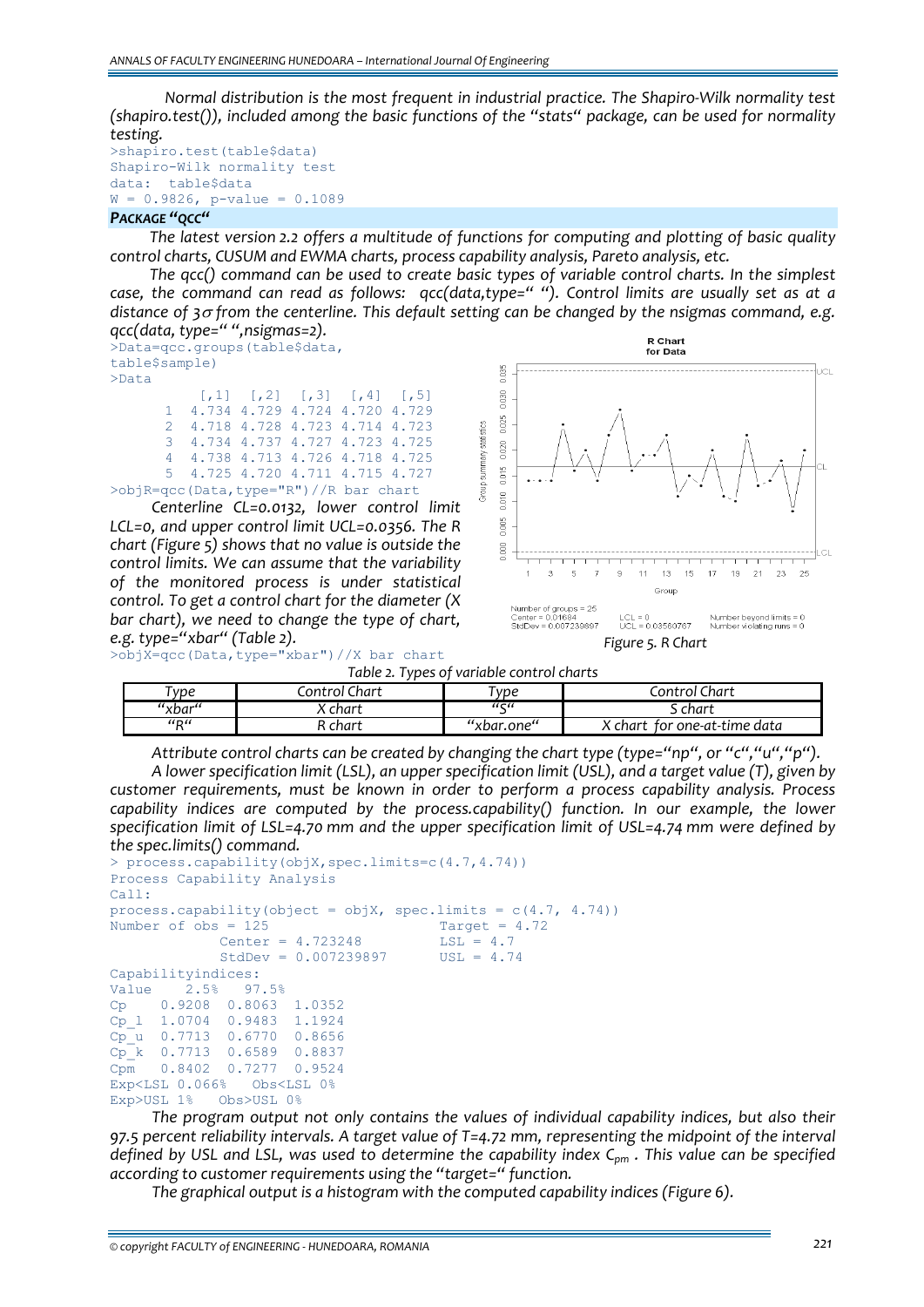*Normal distribution is the most frequent in industrial practice. The Shapiro‐Wilk normality test (shapiro.test()), included among the basic functions of the "stats" package, can be used for normality testing.* 

```
>shapiro.test(table$data) 
Shapiro-Wilk normality test 
data: table$data 
W = 0.9826, p-value = 0.1089
```
# *PACKAGE "QCC"*

*The latest version 2.2 offers a multitude of functions for computing and plotting of basic quality control charts, CUSUM and EWMA charts, process capability analysis, Pareto analysis, etc.* 

*The qcc() command can be used to create basic types of variable control charts. In the simplest* case, the command can read as follows: qcc(data,type=" "). Control limits are usually set as at a *distance of 3*<sup>σ</sup> *from the centerline. This default setting can be changed by the nsigmas command, e.g. qcc(data, type=" ",nsigmas=2).*

>Data=qcc.groups(table\$data, table\$sample) >Data  $[1, 1]$   $[2, 2]$   $[3, 3]$   $[1, 4]$   $[1, 5]$ 1 4.734 4.729 4.724 4.720 4.729

> 2 4.718 4.728 4.723 4.714 4.723 3 4.734 4.737 4.727 4.723 4.725 4 4.738 4.713 4.726 4.718 4.725 5 4.725 4.720 4.711 4.715 4.727

>objR=qcc(Data,type="R")//R bar chart

*Centerline CL=0.0132, lower control limit LCL=0, and upper control limit UCL=0.0356. The R chart (Figure 5) shows that no value is outside the control limits. We can assume that the variability of the monitored process is under statistical control. To get a control chart for the diameter (X bar chart), we need to change the type of chart, e.g. type="xbar" (Table 2).*





*Figure 5. R Chart*

*Table 2. Types of variable control charts* 

| vpe                                   | Thart<br>ontrol | vpe                     | Control Chart                 |
|---------------------------------------|-----------------|-------------------------|-------------------------------|
| "xbar"                                | . char†         | $\epsilon\epsilon$<br>- | char† د                       |
| $^{\prime\prime}$ R $^{\prime\prime}$ | chart           | "xbar.one"              | for one-at-time data<br>chart |

*Attribute control charts can be created by changing the chart type (type="np", or "c","u","p").* 

*A lower specification limit (LSL), an upper specification limit (USL), and a target value (T), given by customer requirements, must be known in order to perform a process capability analysis. Process capability indices are computed by the process.capability() function. In our example, the lower specification limit of LSL=4.70 mm and the upper specification limit of USL=4.74 mm were defined by the spec.limits() command.*

```
> process.capability(objX,spec.limits=c(4.7,4.74)) 
Process Capability Analysis 
Call: 
process.capability(object = objX, spec.limits = c(4.7, 4.74))
Number of obs = 125<br>Center = 4.723248<br>Target = 4.723248Center = 4.723248 LSL = 4.7<br>StdDev = 0.007239897 USL = 4.74StdDev = 0.007239897Capabilityindices: 
Value 2.5% 97.5% 
Cp 0.9208 0.8063 1.0352 
Cp_l 1.0704 0.9483 1.1924 
Cp_u 0.7713 0.6770 0.8656 
\overline{Cp} k 0.7713 0.6589 0.8837
Cpm 0.8402 0.7277 0.9524 
Exp<LSL 0.066% Obs<LSL 0% 
Exp>USL 1% Obs>USL 0%
```
*The program output not only contains the values of individual capability indices, but also their 97.5 percent reliability intervals. A target value of T=4.72 mm, representing the midpoint of the interval* defined by USL and LSL, was used to determine the capability index  $C_{pm}$ . This value can be specified *according to customer requirements using the "target=" function.*

*The graphical output is a histogram with the computed capability indices (Figure 6).*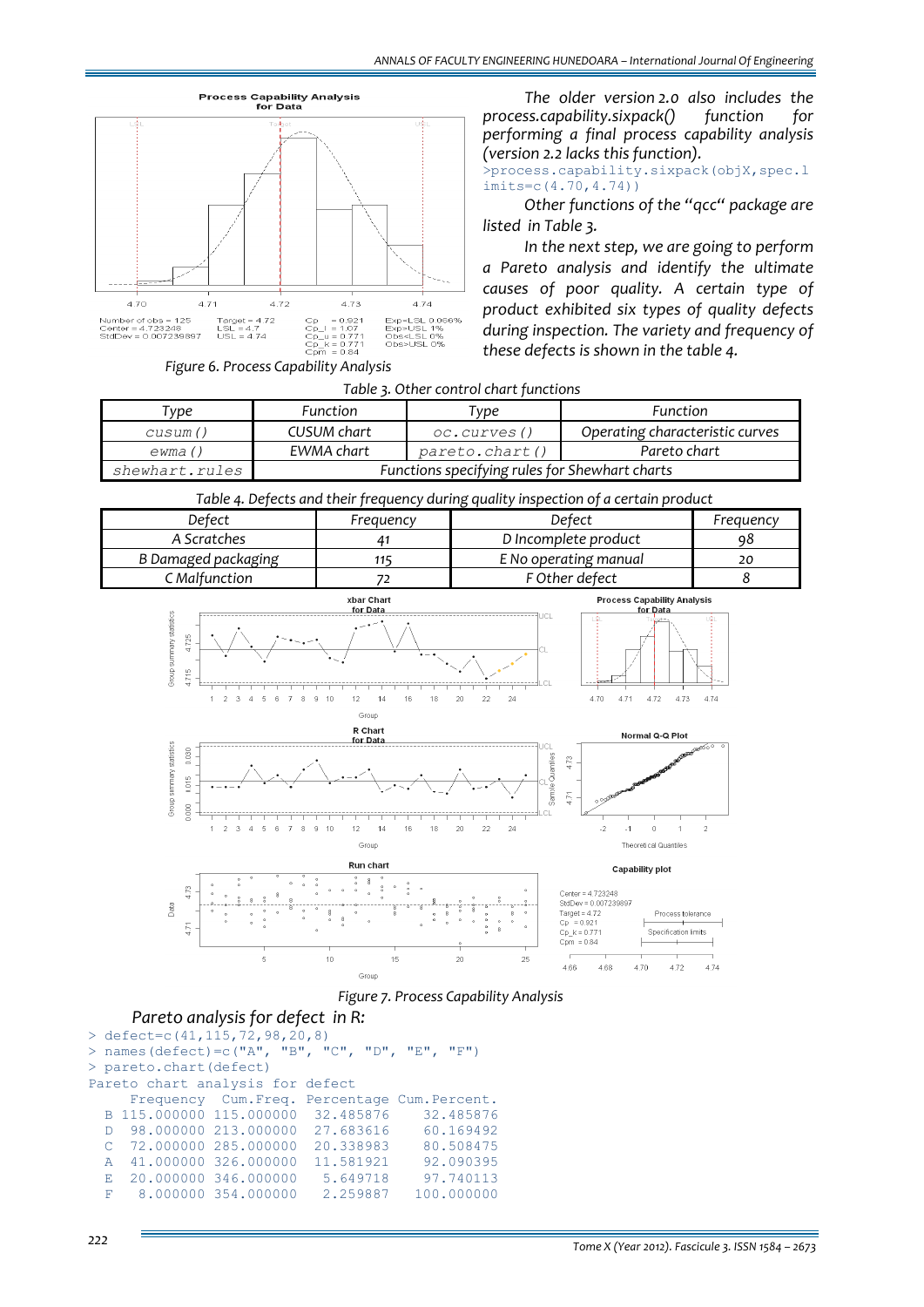

*The older version 2.0 also includes the process.capability.sixpack() function for performing a final process capability analysis (version 2.2 lacks this function).* 

>process.capability.sixpack(objX,spec.l imits=c(4.70,4.74))

*Other functions of the "qcc" package are listed in Table 3.* 

*In the next step, we are going to perform a Pareto analysis and identify the ultimate causes of poor quality. A certain type of product exhibited six types of quality defects during inspection. The variety and frequency of these defects is shown in the table 4.*

*Figure 6. Process Capability Analysis*

| Table 3. Other control chart functions |  |
|----------------------------------------|--|
|----------------------------------------|--|

| 'vpe           | <b>Function</b>                                | түре           | <b>Function</b>                 |  |
|----------------|------------------------------------------------|----------------|---------------------------------|--|
| cusum()        | CUSUM chart                                    | oc.curves()    | Operating characteristic curves |  |
| ewma()         | EWMA chart                                     | pareto.chart() | Pareto chart                    |  |
| shewhart.rules | Functions specifying rules for Shewhart charts |                |                                 |  |

 *Table 4. Defects and their frequency during quality inspection of a certain product* 

| Freauencv | Defect                | Freauencv |
|-----------|-----------------------|-----------|
|           | D Incomplete product  |           |
|           | E No operating manual |           |
|           | F Other defect        |           |
|           |                       |           |



#### *Figure 7. Process Capability Analysis*

Groun

#### *Pareto analysis for defect in R:*

```
> defect=c(41,115,72,98,20,8)<br>> names(defect)=c("A", "B", "C", "D", "E", "F")
> names (defect) = c("A",
> pareto.chart(defect) 
Pareto chart analysis for defect 
       Frequency Cum.Freq. Percentage Cum.Percent.<br>115.000000 115.000000 32.485876 32.485876
   B 115.000000 115.000000 32.485876<br>D 98.000000 213.000000 27.683616
   D 98.000000 213.000000 27.683616 60.169492<br>C 72.000000 285.000000 20.338983 80.508475
   C 72.000000 285.000000 20.338983 80.508475<br>A 41.000000 326.000000 11.581921 92.090395
        A 41.000000 326.000000 11.581921 92.090395 
   E 20.000000 346.000000 5.649718 97.740113<br>F 8.000000 354.000000 2.259887 100.000000
         8.000000 354.000000
```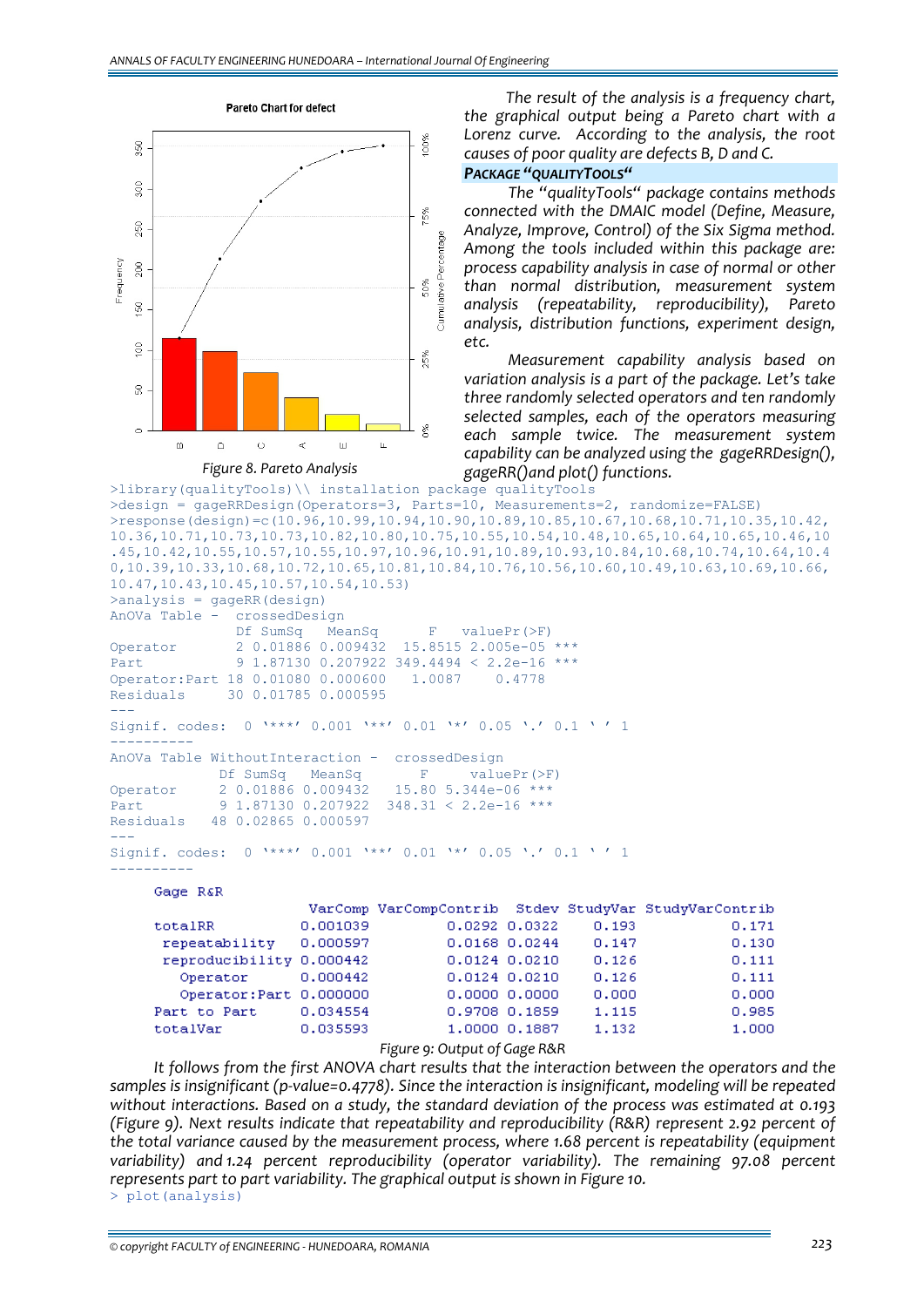

*The result of the analysis is a frequency chart, the graphical output being a Pareto chart with a Lorenz curve. According to the analysis, the root causes of poor quality are defects B, D and C.*

#### *PACKAGE "QUALITYTOOLS"*

*The "qualityTools" package contains methods connected with the DMAIC model (Define, Measure, Analyze, Improve, Control) of the Six Sigma method. Among the tools included within this package are: process capability analysis in case of normal or other than normal distribution, measurement system analysis (repeatability, reproducibility), Pareto analysis, distribution functions, experiment design, etc.* 

*Measurement capability analysis based on variation analysis is a part of the package. Let's take three randomly selected operators and ten randomly selected samples, each of the operators measuring each sample twice. The measurement system capability can be analyzed using the gageRRDesign(), gageRR()and plot() functions.*

```
>library(qualityTools)\\ installation package qualityTools
>design = gageRRDesign(Operators=3, Parts=10, Measurements=2, randomize=FALSE) 
>response(design)=c(10.96,10.99,10.94,10.90,10.89,10.85,10.67,10.68,10.71,10.35,10.42,
10.36,10.71,10.73,10.73,10.82,10.80,10.75,10.55,10.54,10.48,10.65,10.64,10.65,10.46,10
.45,10.42,10.55,10.57,10.55,10.97,10.96,10.91,10.89,10.93,10.84,10.68,10.74,10.64,10.4
0,10.39,10.33,10.68,10.72,10.65,10.81,10.84,10.76,10.56,10.60,10.49,10.63,10.69,10.66,
10.47,10.43,10.45,10.57,10.54,10.53)
```

```
>analysis = gageRR(design)
```

```
AnOVa Table - crossedDesign
```
Df SumSq MeanSq F valuePr(>F) Operator 2 0.01886 0.009432 15.8515 2.005e-05 \*\*\*<br>Part 9 1.87130 0.207922 349.4494 < 2.2e-16 \*\*\* 9 1.87130 0.207922 349.4494 < 2.2e-16 \*\*\* Operator:Part 18 0.01080 0.000600 1.0087 0.4778 Residuals 30 0.01785 0.000595 --- Signif. codes: 0 '\*\*\*' 0.001 '\*\*' 0.01 '\*' 0.05 '.' 0.1 ' ' 1 ----------

```
AnOVa Table WithoutInteraction - crossedDesign 
              Df SumSq MeanSq F valuePr(>F)<br>2 0.01886 0.009432 15.80 5.344e-06 ***
Operator 2 0.018860.009432
```

```
Part 9 1.87130 0.207922 348.31 < 2.2e-16 ***
Residuals 48 0.02865 0.000597 
--- 
Signif. codes: 0 '***' 0.001 '**' 0.01 '*' 0.05 '.' 0.1 ' ' 1
```
# Gage R&R

----------

|                          |          |                   |                   |       | VarComp VarCompContrib Stdev StudyVar StudyVarContrib |
|--------------------------|----------|-------------------|-------------------|-------|-------------------------------------------------------|
| totalRR                  | 0.001039 | 0.0292 0.0322     |                   | 0.193 | 0.171                                                 |
| repeatability            | 0.000597 |                   | $0.0168$ $0.0244$ | 0.147 | 0.130                                                 |
| reproducibility 0.000442 |          | $0.0124$ $0.0210$ |                   | 0.126 | 0.111                                                 |
| Operator                 | 0.000442 | $0.0124$ $0.0210$ |                   | 0.126 | 0.111                                                 |
| Operator: Part 0.000000  |          | 0.000000.0000     |                   | 0.000 | 0.000                                                 |
| Part to Part             | 0.034554 | 0.9708 0.1859     |                   | 1.115 | 0.985                                                 |
| totalVar                 | 0.035593 |                   | 1,0000 0.1887     | 1.132 | 1,000                                                 |

*Figure 9: Output of Gage R&R*

*It follows from the first ANOVA chart results that the interaction between the operators and the samples is insignificant (p‐value=0.4778). Since the interaction is insignificant, modeling will be repeated without interactions. Based on a study, the standard deviation of the process was estimated at 0.193 (Figure 9). Next results indicate that repeatability and reproducibility (R&R) represent 2.92 percent of the total variance caused by the measurement process, where 1.68 percent is repeatability (equipment variability) and 1.24 percent reproducibility (operator variability). The remaining 97.08 percent represents part to part variability. The graphical output is shown in Figure 10.* > plot(analysis)

*© copyright FACULTY of ENGINEERING ‐ HUNEDOARA, ROMANIA 223*